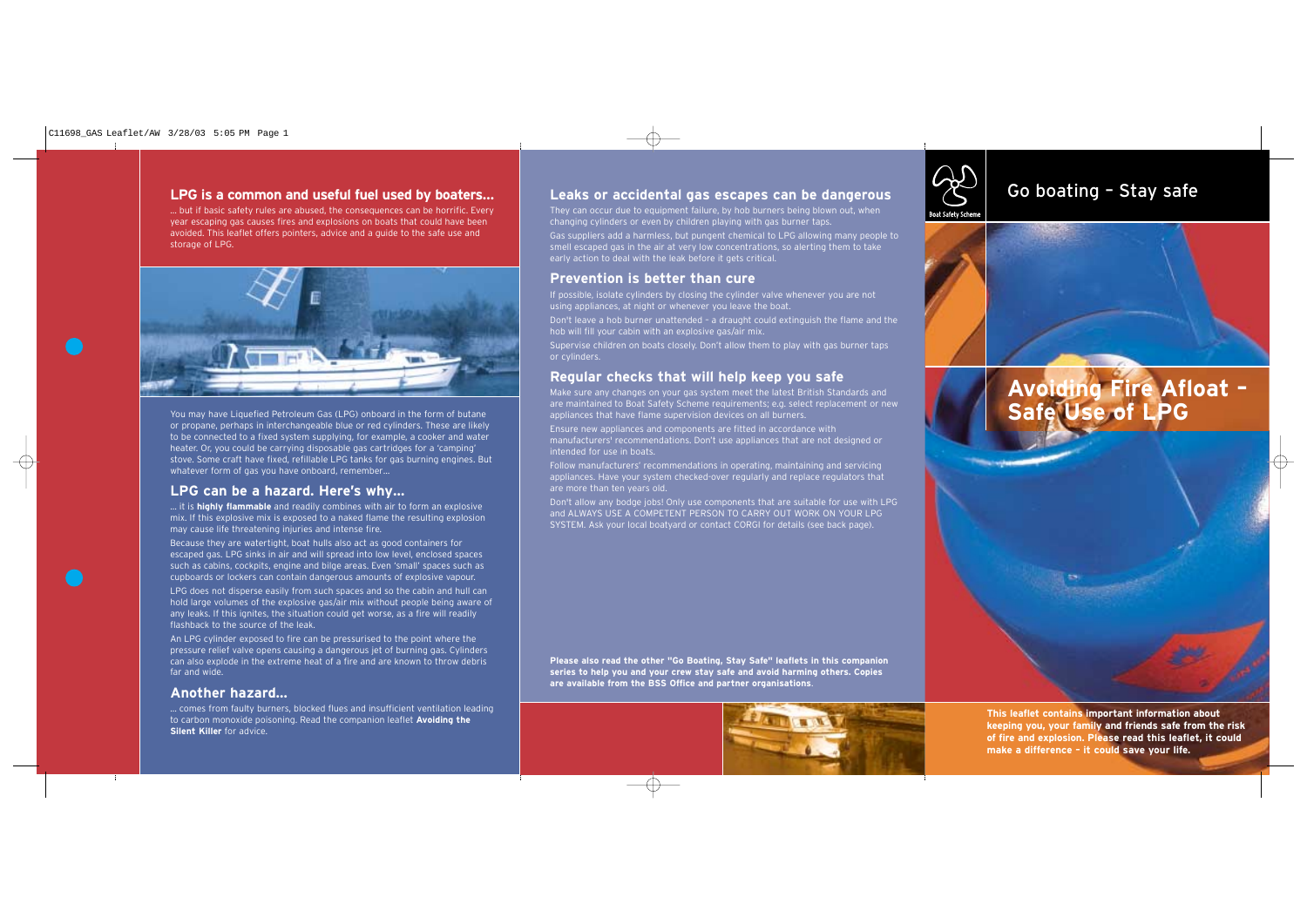# **LPG is a common and useful fuel used by boaters…**

… but if basic safety rules are abused, the consequences can be horrific. Every year escaping gas causes fires and explosions on boats that could have been avoided. This leaflet offers pointers, advice and a guide to the safe use and storage of LPG.



You may have Liquefied Petroleum Gas (LPG) onboard in the form of butane or propane, perhaps in interchangeable blue or red cylinders. These are likely to be connected to a fixed system supplying, for example, a cooker and water heater. Or, you could be carrying disposable gas cartridges for a 'camping' stove. Some craft have fixed, refillable LPG tanks for gas burning engines. But whatever form of gas you have onboard, remember…

# **LPG can be a hazard. Here's why…**

… it is **highly flammable** and readily combines with air to form an explosive mix. If this explosive mix is exposed to a naked flame the resulting explosion may cause life threatening injuries and intense fire.

Because they are watertight, boat hulls also act as good containers for escaped gas. LPG sinks in air and will spread into low level, enclosed spaces such as cabins, cockpits, engine and bilge areas. Even 'small' spaces such as cupboards or lockers can contain dangerous amounts of explosive vapour.

LPG does not disperse easily from such spaces and so the cabin and hull can hold large volumes of the explosive gas/air mix without people being aware of any leaks. If this ignites, the situation could get worse, as a fire will readily flashback to the source of the leak.

An LPG cylinder exposed to fire can be pressurised to the point where the pressure relief valve opens causing a dangerous jet of burning gas. Cylinders can also explode in the extreme heat of a fire and are known to throw debris far and wide.

## **Another hazard…**

… comes from faulty burners, blocked flues and insufficient ventilation leading to carbon monoxide poisoning. Read the companion leaflet **Avoiding the Silent Killer** for advice.

# Leaks or accidental gas escapes can be dangerous **CONTING CO boating - Stay safe**

They can occur due to equipment failure, by hob burners being blown out, when changing cylinders or even by children playing with gas burner taps. Gas suppliers add a harmless, but pungent chemical to LPG allowing many people to smell escaped gas in the air at very low concentrations, so alerting them to take early action to deal with the leak before it gets critical.

## **Prevention is better than cure**

If possible, isolate cylinders by closing the cylinder valve whenever you are not using appliances, at night or whenever you leave the boat. Don't leave a hob burner unattended – a draught could extinguish the flame and the hob will fill your cabin with an explosive gas/air mix. Supervise children on boats closely. Don't allow them to play with gas burner taps or cylinders.

# **Regular checks that will help keep you safe**

Make sure any changes on your gas system meet the latest British Standards and are maintained to Boat Safety Scheme requirements; e.g. select replacement or new appliances that have flame supervision devices on all burners.

Ensure new appliances and components are fitted in accordance with manufacturers' recommendations. Don't use appliances that are not designed or intended for use in boats.

Follow manufacturers' recommendations in operating, maintaining and servicing appliances. Have your system checked-over regularly and replace regulators that are more than ten years old.

Don't allow any bodge jobs! Only use components that are suitable for use with LPG and ALWAYS USE A COMPETENT PERSON TO CARRY OUT WORK ON YOUR LPG SYSTEM. Ask your local boatyard or contact CORGI for details (see back page).

**Please also read the other "Go Boating, Stay Safe" leaflets in this companion series to help you and your crew stay safe and avoid harming others. Copies are available from the BSS Office and partner organisations**.





**MARKET** 



# **Avoiding Fire Afloat – Safe Use of LPG**